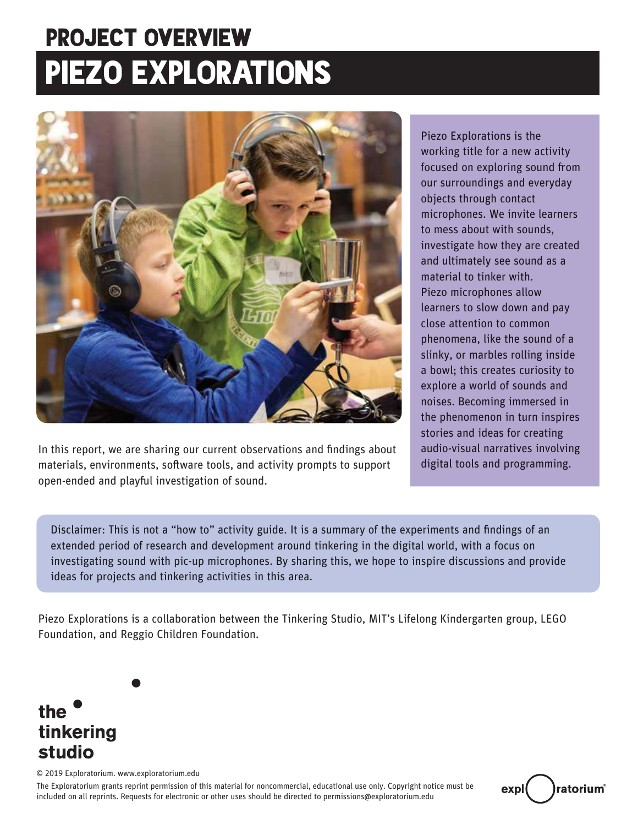### Piezo Explorations PROJECT OVERVIEW



In this report, we are sharing our current observations and findings about materials, environments, software tools, and activity prompts to support open-ended and playful investigation of sound.

Piezo Explorations is the working title for a new activity focused on exploring sound from our surroundings and everyday objects through contact microphones. We invite learners to mess about with sounds, investigate how they are created and ultimately see sound as a material to tinker with. Piezo microphones allow learners to slow down and pay close attention to common phenomena, like the sound of a slinky, or marbles rolling inside a bowl; this creates curiosity to explore a world of sounds and noises. Becoming immersed in the phenomenon in turn inspires stories and ideas for creating audio-visual narratives involving digital tools and programming.

Disclaimer: This is not a "how to" activity guide. It is a summary of the experiments and findings of an extended period of research and development around tinkering in the digital world, with a focus on investigating sound with pic-up microphones. By sharing this, we hope to inspire discussions and provide ideas for projects and tinkering activities in this area.

Piezo Explorations is a collaboration between the Tinkering Studio, MIT's Lifelong Kindergarten group, LEGO Foundation, and Reggio Children Foundation.

### the tinkering studio

© 2019 Exploratorium. www.exploratorium.edu

The Exploratorium grants reprint permission of this material for noncommercial, educational use only. Copyright notice must be included on all reprints. Requests for electronic or other uses should be directed to permissions@exploratorium.edu

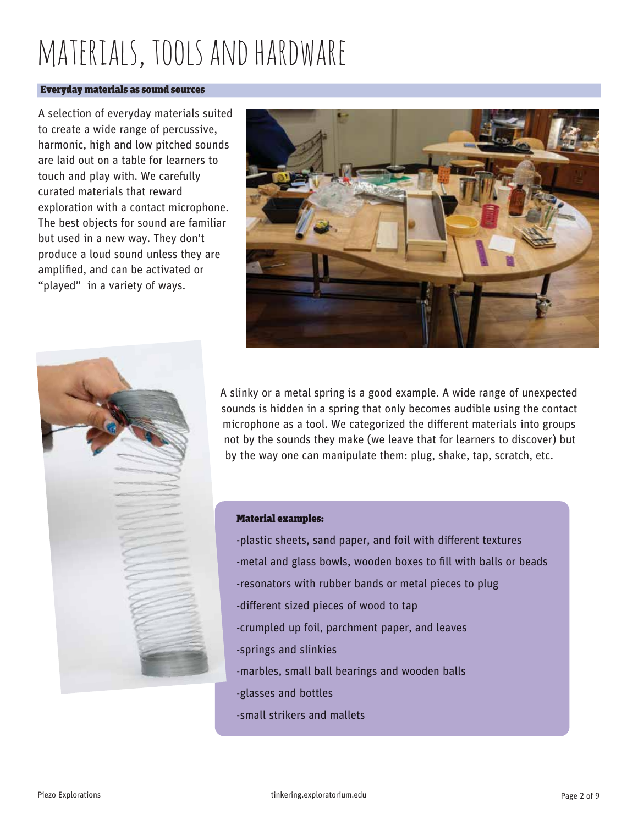# materials, tools and hardware

### Everyday materials as sound sources

A selection of everyday materials suited to create a wide range of percussive, harmonic, high and low pitched sounds are laid out on a table for learners to touch and play with. We carefully curated materials that reward exploration with a contact microphone. The best objects for sound are familiar but used in a new way. They don't produce a loud sound unless they are amplified, and can be activated or "played" in a variety of ways.





A slinky or a metal spring is a good example. A wide range of unexpected sounds is hidden in a spring that only becomes audible using the contact microphone as a tool. We categorized the different materials into groups not by the sounds they make (we leave that for learners to discover) but by the way one can manipulate them: plug, shake, tap, scratch, etc.

### Material examples:

- -plastic sheets, sand paper, and foil with different textures
- -metal and glass bowls, wooden boxes to fill with balls or beads
- -resonators with rubber bands or metal pieces to plug
- -different sized pieces of wood to tap
- -crumpled up foil, parchment paper, and leaves
- -springs and slinkies
- -marbles, small ball bearings and wooden balls
- -glasses and bottles
- -small strikers and mallets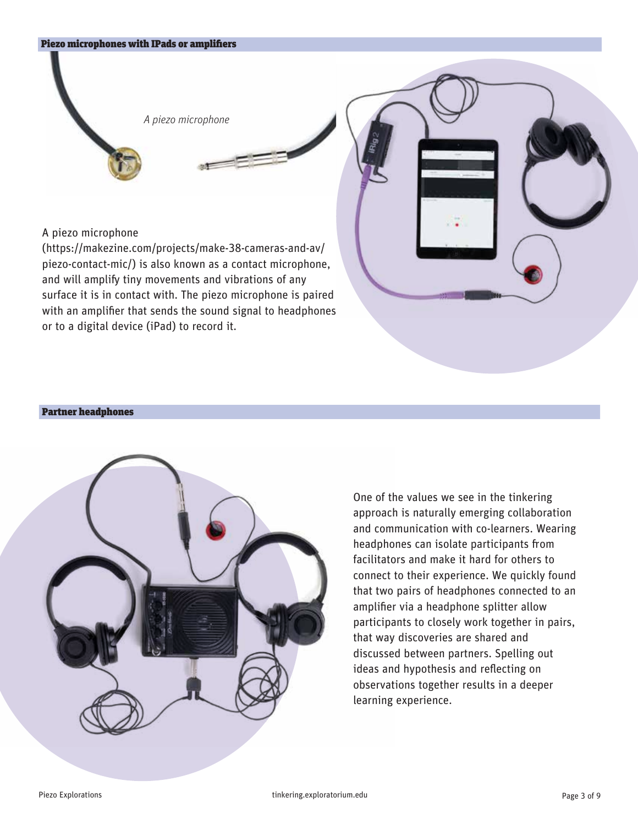

piezo-contact-mic/) is also known as a contact microphone, and will amplify tiny movements and vibrations of any surface it is in contact with. The piezo microphone is paired with an amplifier that sends the sound signal to headphones or to a digital device (iPad) to record it.



One of the values we see in the tinkering approach is naturally emerging collaboration and communication with co-learners. Wearing headphones can isolate participants from facilitators and make it hard for others to connect to their experience. We quickly found that two pairs of headphones connected to an amplifier via a headphone splitter allow participants to closely work together in pairs, that way discoveries are shared and discussed between partners. Spelling out ideas and hypothesis and reflecting on observations together results in a deeper learning experience.

### Partner headphones

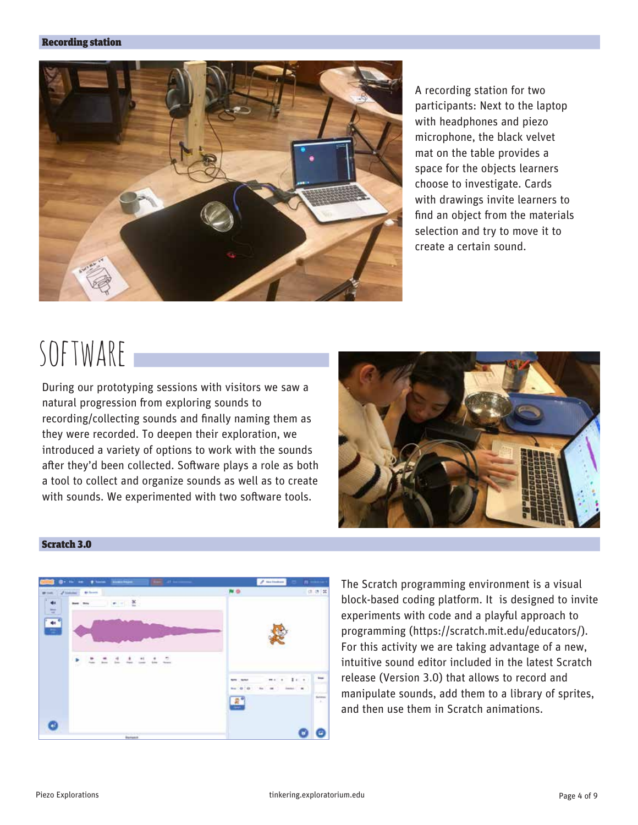#### Recording station



A recording station for two participants: Next to the laptop with headphones and piezo microphone, the black velvet mat on the table provides a space for the objects learners choose to investigate. Cards with drawings invite learners to find an object from the materials selection and try to move it to create a certain sound.

# software

During our prototyping sessions with visitors we saw a natural progression from exploring sounds to recording/collecting sounds and finally naming them as they were recorded. To deepen their exploration, we introduced a variety of options to work with the sounds after they'd been collected. Software plays a role as both a tool to collect and organize sounds as well as to create with sounds. We experimented with two software tools.



### Scratch 3.0



The Scratch programming environment is a visual block-based coding platform. It is designed to invite experiments with code and a playful approach to programming (https://scratch.mit.edu/educators/). For this activity we are taking advantage of a new, intuitive sound editor included in the latest Scratch release (Version 3.0) that allows to record and manipulate sounds, add them to a library of sprites, and then use them in Scratch animations.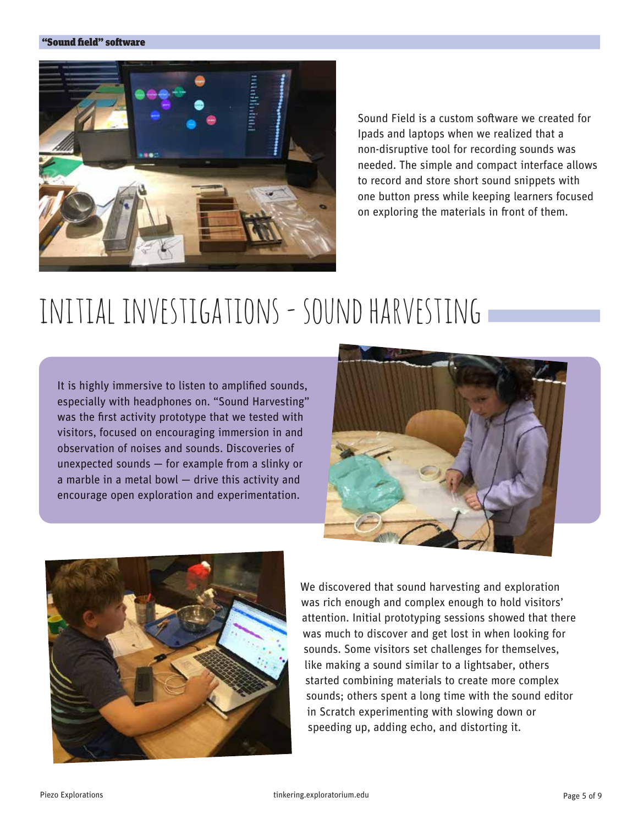#### "Sound field" software



Sound Field is a custom software we created for Ipads and laptops when we realized that a non-disruptive tool for recording sounds was needed. The simple and compact interface allows to record and store short sound snippets with one button press while keeping learners focused on exploring the materials in front of them.

### initial investigations - sound harvesting

It is highly immersive to listen to amplified sounds, especially with headphones on. "Sound Harvesting" was the first activity prototype that we tested with visitors, focused on encouraging immersion in and observation of noises and sounds. Discoveries of unexpected sounds  $-$  for example from a slinky or a marble in a metal bowl — drive this activity and encourage open exploration and experimentation.





We discovered that sound harvesting and exploration was rich enough and complex enough to hold visitors' attention. Initial prototyping sessions showed that there was much to discover and get lost in when looking for sounds. Some visitors set challenges for themselves, like making a sound similar to a lightsaber, others started combining materials to create more complex sounds; others spent a long time with the sound editor in Scratch experimenting with slowing down or speeding up, adding echo, and distorting it.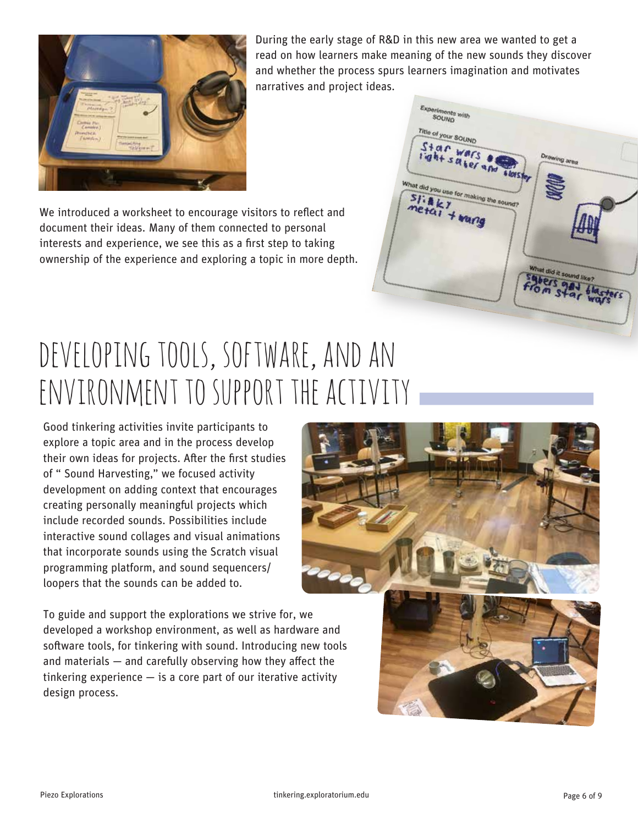

During the early stage of R&D in this new area we wanted to get a read on how learners make meaning of the new sounds they discover and whether the process spurs learners imagination and motivates narratives and project ideas.

Experim

enta with SOUND e of your SOUND  $\frac{190}{9}$  wars

 $\frac{1}{2}$ 

at did it s

We introduced a worksheet to encourage visitors to reflect and document their ideas. Many of them connected to personal interests and experience, we see this as a first step to taking ownership of the experience and exploring a topic in more depth.

# developing tools, software, and an environment to support the activity

Good tinkering activities invite participants to explore a topic area and in the process develop their own ideas for projects. After the first studies of " Sound Harvesting," we focused activity development on adding context that encourages creating personally meaningful projects which include recorded sounds. Possibilities include interactive sound collages and visual animations that incorporate sounds using the Scratch visual programming platform, and sound sequencers/ loopers that the sounds can be added to.

To guide and support the explorations we strive for, we developed a workshop environment, as well as hardware and software tools, for tinkering with sound. Introducing new tools and materials  $-$  and carefully observing how they affect the tinkering experience  $-$  is a core part of our iterative activity design process.



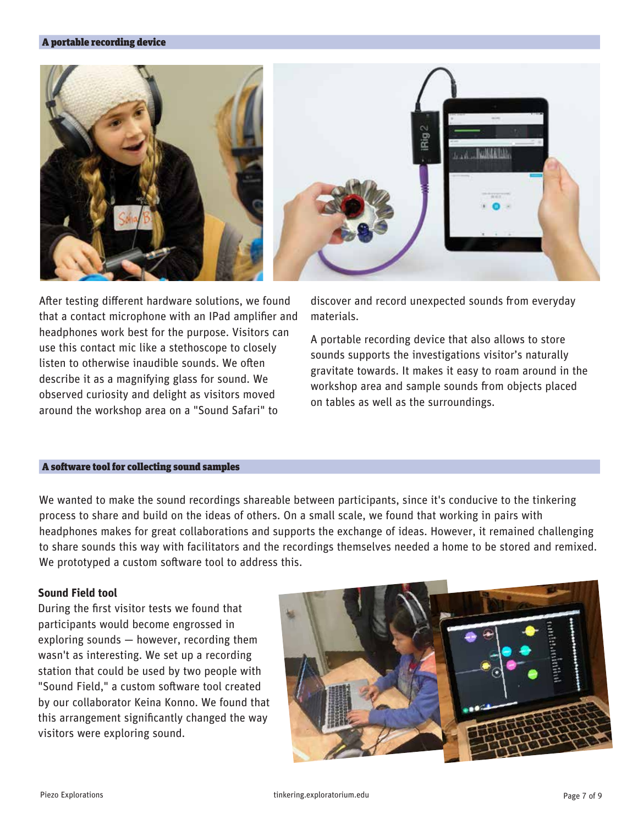#### A portable recording device



After testing different hardware solutions, we found that a contact microphone with an IPad amplifier and headphones work best for the purpose. Visitors can use this contact mic like a stethoscope to closely listen to otherwise inaudible sounds. We often describe it as a magnifying glass for sound. We observed curiosity and delight as visitors moved around the workshop area on a "Sound Safari" to

discover and record unexpected sounds from everyday materials.

A portable recording device that also allows to store sounds supports the investigations visitor's naturally gravitate towards. It makes it easy to roam around in the workshop area and sample sounds from objects placed on tables as well as the surroundings.

#### A software tool for collecting sound samples

We wanted to make the sound recordings shareable between participants, since it's conducive to the tinkering process to share and build on the ideas of others. On a small scale, we found that working in pairs with headphones makes for great collaborations and supports the exchange of ideas. However, it remained challenging to share sounds this way with facilitators and the recordings themselves needed a home to be stored and remixed. We prototyped a custom software tool to address this.

### **Sound Field tool**

During the first visitor tests we found that participants would become engrossed in exploring sounds — however, recording them wasn't as interesting. We set up a recording station that could be used by two people with "Sound Field," a custom software tool created by our collaborator Keina Konno. We found that this arrangement significantly changed the way visitors were exploring sound.

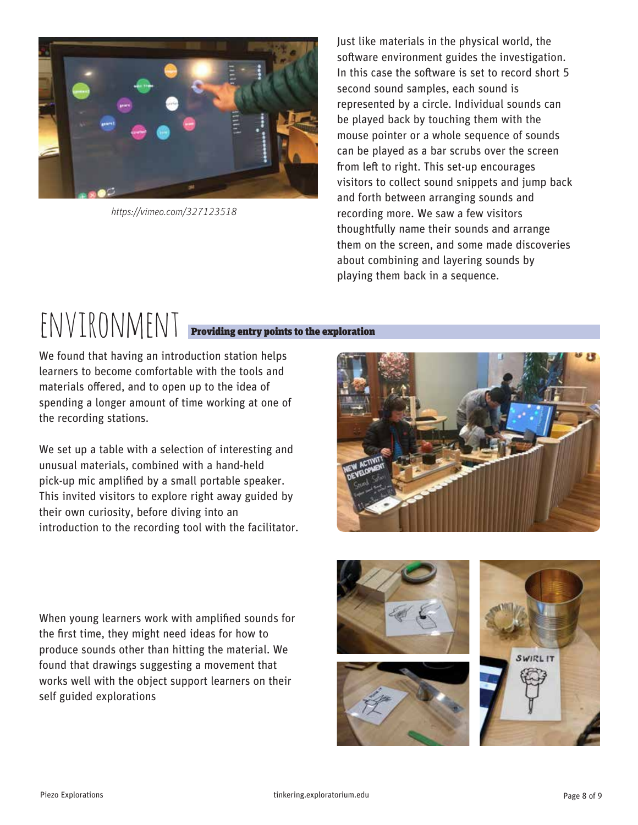

*https://vimeo.com/327123518*

Just like materials in the physical world, the software environment guides the investigation. In this case the software is set to record short 5 second sound samples, each sound is represented by a circle. Individual sounds can be played back by touching them with the mouse pointer or a whole sequence of sounds can be played as a bar scrubs over the screen from left to right. This set-up encourages visitors to collect sound snippets and jump back and forth between arranging sounds and recording more. We saw a few visitors thoughtfully name their sounds and arrange them on the screen, and some made discoveries about combining and layering sounds by playing them back in a sequence.

## $\text{EWVIRONMEN}$  Providing entry points to the exploration

We found that having an introduction station helps learners to become comfortable with the tools and materials offered, and to open up to the idea of spending a longer amount of time working at one of the recording stations.

We set up a table with a selection of interesting and unusual materials, combined with a hand-held pick-up mic amplified by a small portable speaker. This invited visitors to explore right away guided by their own curiosity, before diving into an introduction to the recording tool with the facilitator.



When young learners work with amplified sounds for the first time, they might need ideas for how to produce sounds other than hitting the material. We found that drawings suggesting a movement that works well with the object support learners on their self guided explorations